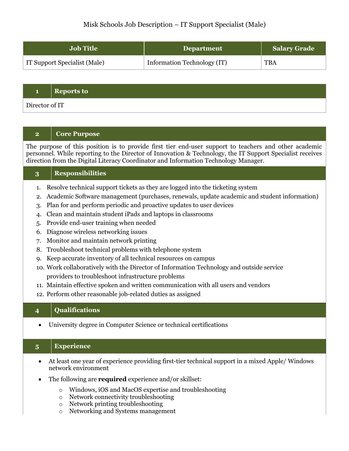# Misk Schools Job Description – IT Support Specialist (Male)

| <b>Job Title</b>             | <b>Department</b>           | <b>Salary Grade</b> |
|------------------------------|-----------------------------|---------------------|
| IT Support Specialist (Male) | Information Technology (IT) | <b>TBA</b>          |

#### **1 Reports to**

Director of IT

### **2 Core Purpose**

The purpose of this position is to provide first tier end-user support to teachers and other academic personnel. While reporting to the Director of Innovation & Technology, the IT Support Specialist receives direction from the Digital Literacy Coordinator and Information Technology Manager.

#### **3 Responsibilities**

- 1. Resolve technical support tickets as they are logged into the ticketing system
- 2. Academic Software management (purchases, renewals, update academic and student information)
- 3. Plan for and perform periodic and proactive updates to user devices
- 4. Clean and maintain student iPads and laptops in classrooms
- 5. Provide end-user training when needed
- 6. Diagnose wireless networking issues
- 7. Monitor and maintain network printing
- 8. Troubleshoot technical problems with telephone system
- 9. Keep accurate inventory of all technical resources on campus
- 10. Work collaboratively with the Director of Information Technology and outside service providers to troubleshoot infrastructure problems
- 11. Maintain effective spoken and written communication with all users and vendors
- 12. Perform other reasonable job-related duties as assigned

### **4 Qualifications**

• University degree in Computer Science or technical certifications

## **5 Experience**

- At least one year of experience providing first-tier technical support in a mixed Apple/ Windows network environment
- The following are **required** experience and/or skillset:
	- o Windows, iOS and MacOS expertise and troubleshooting
	- o Network connectivity troubleshooting
	- o Network printing troubleshooting
	- o Networking and Systems management